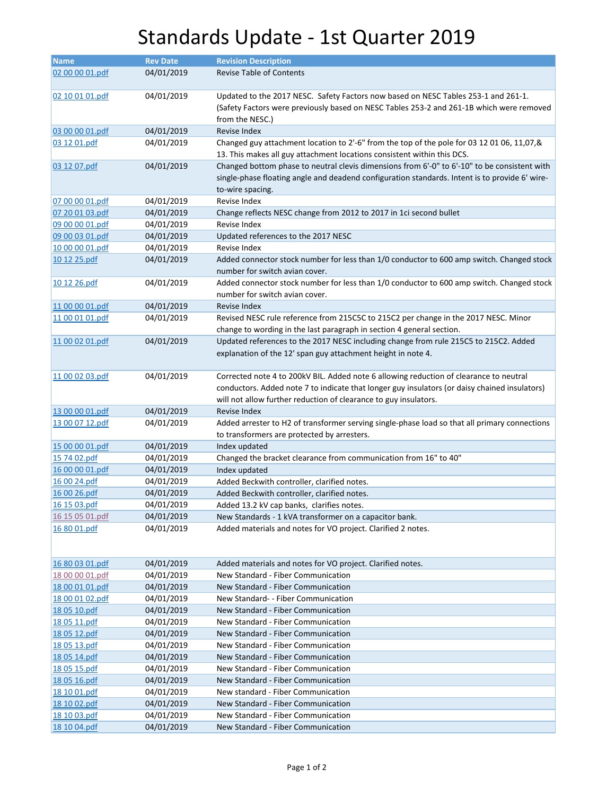## Standards Update - 1st Quarter 2019

| Name            | <b>Rev Date</b> | <b>Revision Description</b>                                                                    |
|-----------------|-----------------|------------------------------------------------------------------------------------------------|
|                 |                 |                                                                                                |
| 02 00 00 01.pdf | 04/01/2019      | <b>Revise Table of Contents</b>                                                                |
| 02 10 01 01.pdf | 04/01/2019      | Updated to the 2017 NESC. Safety Factors now based on NESC Tables 253-1 and 261-1.             |
|                 |                 | (Safety Factors were previously based on NESC Tables 253-2 and 261-1B which were removed       |
|                 |                 | from the NESC.)                                                                                |
| 03 00 00 01.pdf | 04/01/2019      | Revise Index                                                                                   |
| 03 12 01.pdf    | 04/01/2019      | Changed guy attachment location to 2'-6" from the top of the pole for 03 12 01 06, 11,07,&     |
|                 |                 |                                                                                                |
|                 |                 | 13. This makes all guy attachment locations consistent within this DCS.                        |
| 03 12 07.pdf    | 04/01/2019      | Changed bottom phase to neutral clevis dimensions from 6'-0" to 6'-10" to be consistent with   |
|                 |                 | single-phase floating angle and deadend configuration standards. Intent is to provide 6' wire- |
|                 |                 | to-wire spacing.                                                                               |
| 07 00 00 01.pdf | 04/01/2019      | Revise Index                                                                                   |
| 07 20 01 03.pdf | 04/01/2019      | Change reflects NESC change from 2012 to 2017 in 1ci second bullet                             |
| 09 00 00 01.pdf | 04/01/2019      | Revise Index                                                                                   |
| 09 00 03 01.pdf | 04/01/2019      | Updated references to the 2017 NESC                                                            |
| 10 00 00 01.pdf | 04/01/2019      | Revise Index                                                                                   |
| 10 12 25.pdf    | 04/01/2019      | Added connector stock number for less than 1/0 conductor to 600 amp switch. Changed stock      |
|                 |                 | number for switch avian cover.                                                                 |
| 10 12 26.pdf    | 04/01/2019      | Added connector stock number for less than 1/0 conductor to 600 amp switch. Changed stock      |
|                 |                 | number for switch avian cover.                                                                 |
| 11 00 00 01.pdf | 04/01/2019      | Revise Index                                                                                   |
| 11 00 01 01.pdf | 04/01/2019      | Revised NESC rule reference from 215C5C to 215C2 per change in the 2017 NESC. Minor            |
|                 |                 | change to wording in the last paragraph in section 4 general section.                          |
| 11 00 02 01.pdf | 04/01/2019      | Updated references to the 2017 NESC including change from rule 215C5 to 215C2. Added           |
|                 |                 | explanation of the 12' span guy attachment height in note 4.                                   |
|                 |                 |                                                                                                |
| 11 00 02 03.pdf | 04/01/2019      | Corrected note 4 to 200kV BIL. Added note 6 allowing reduction of clearance to neutral         |
|                 |                 | conductors. Added note 7 to indicate that longer guy insulators (or daisy chained insulators)  |
|                 |                 | will not allow further reduction of clearance to guy insulators.                               |
| 13 00 00 01.pdf | 04/01/2019      | Revise Index                                                                                   |
| 13 00 07 12.pdf | 04/01/2019      | Added arrester to H2 of transformer serving single-phase load so that all primary connections  |
|                 |                 | to transformers are protected by arresters.                                                    |
| 15 00 00 01.pdf | 04/01/2019      | Index updated                                                                                  |
| 15 74 02.pdf    | 04/01/2019      | Changed the bracket clearance from communication from 16" to 40"                               |
| 16 00 00 01.pdf | 04/01/2019      | Index updated                                                                                  |
| 16 00 24.pdf    | 04/01/2019      | Added Beckwith controller, clarified notes.                                                    |
| 16 00 26.pdf    | 04/01/2019      | Added Beckwith controller, clarified notes.                                                    |
| 16 15 03.pdf    | 04/01/2019      | Added 13.2 kV cap banks, clarifies notes.                                                      |
| 16 15 05 01.pdf | 04/01/2019      | New Standards - 1 kVA transformer on a capacitor bank.                                         |
| 16 80 01.pdf    | 04/01/2019      | Added materials and notes for VO project. Clarified 2 notes.                                   |
|                 |                 |                                                                                                |
|                 |                 |                                                                                                |
| 16 80 03 01.pdf | 04/01/2019      | Added materials and notes for VO project. Clarified notes.                                     |
| 18 00 00 01.pdf | 04/01/2019      | New Standard - Fiber Communication                                                             |
| 18 00 01 01.pdf | 04/01/2019      | New Standard - Fiber Communication                                                             |
| 18 00 01 02.pdf | 04/01/2019      | New Standard- - Fiber Communication                                                            |
| 18 05 10.pdf    | 04/01/2019      | New Standard - Fiber Communication                                                             |
| 18 05 11.pdf    | 04/01/2019      | New Standard - Fiber Communication                                                             |
| 18 05 12.pdf    | 04/01/2019      | New Standard - Fiber Communication                                                             |
| 18 05 13.pdf    | 04/01/2019      | New Standard - Fiber Communication                                                             |
| 18 05 14.pdf    | 04/01/2019      | New Standard - Fiber Communication                                                             |
| 18 05 15.pdf    | 04/01/2019      | New Standard - Fiber Communication                                                             |
| 18 05 16.pdf    | 04/01/2019      | New Standard - Fiber Communication                                                             |
| 18 10 01.pdf    | 04/01/2019      | New standard - Fiber Communication                                                             |
| 18 10 02.pdf    | 04/01/2019      | New Standard - Fiber Communication                                                             |
| 18 10 03.pdf    | 04/01/2019      | New Standard - Fiber Communication                                                             |
|                 |                 |                                                                                                |
| 18 10 04.pdf    | 04/01/2019      | New Standard - Fiber Communication                                                             |